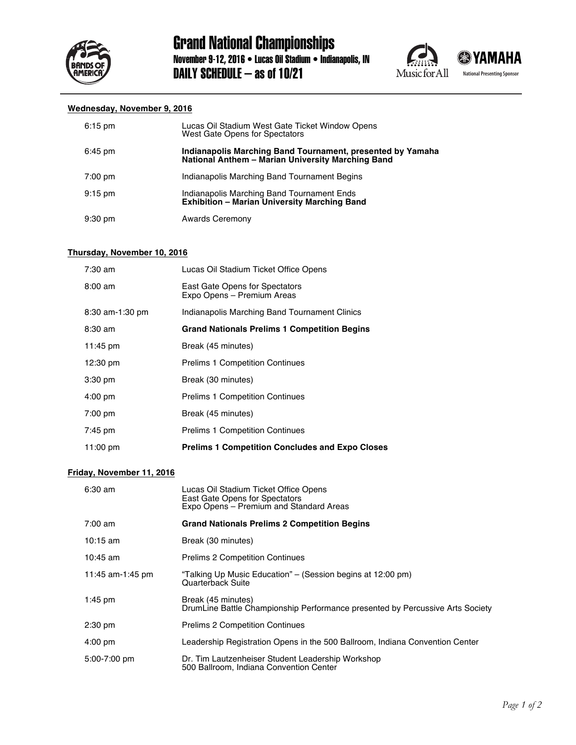





## **Wednesday, November 9, 2016**

| $6:15 \text{ pm}$ | Lucas Oil Stadium West Gate Ticket Window Opens<br>West Gate Opens for Spectators                               |
|-------------------|-----------------------------------------------------------------------------------------------------------------|
| $6:45 \text{ pm}$ | Indianapolis Marching Band Tournament, presented by Yamaha<br>National Anthem - Marian University Marching Band |
| $7:00 \text{ pm}$ | Indianapolis Marching Band Tournament Begins                                                                    |
| $9:15 \text{ pm}$ | Indianapolis Marching Band Tournament Ends<br>Exhibition - Marian University Marching Band                      |
| $9:30 \text{ pm}$ | <b>Awards Ceremony</b>                                                                                          |

## **Thursday, November 10, 2016**

| $7:30$ am          | Lucas Oil Stadium Ticket Office Opens                        |
|--------------------|--------------------------------------------------------------|
| $8:00 \text{ am}$  | East Gate Opens for Spectators<br>Expo Opens - Premium Areas |
| 8:30 am-1:30 pm    | Indianapolis Marching Band Tournament Clinics                |
| $8:30 \text{ am}$  | <b>Grand Nationals Prelims 1 Competition Begins</b>          |
| 11:45 pm           | Break (45 minutes)                                           |
| $12:30 \text{ pm}$ | <b>Prelims 1 Competition Continues</b>                       |
| $3:30$ pm          | Break (30 minutes)                                           |
| $4:00 \text{ pm}$  | <b>Prelims 1 Competition Continues</b>                       |
| $7:00 \text{ pm}$  | Break (45 minutes)                                           |
| $7:45 \text{ pm}$  | <b>Prelims 1 Competition Continues</b>                       |
| 11:00 pm           | <b>Prelims 1 Competition Concludes and Expo Closes</b>       |

## **Friday, November 11, 2016**

| $6:30$ am         | Lucas Oil Stadium Ticket Office Opens<br>East Gate Opens for Spectators<br>Expo Opens - Premium and Standard Areas |
|-------------------|--------------------------------------------------------------------------------------------------------------------|
| $7:00 \text{ am}$ | <b>Grand Nationals Prelims 2 Competition Begins</b>                                                                |
| 10:15 $am$        | Break (30 minutes)                                                                                                 |
| $10:45$ am        | <b>Prelims 2 Competition Continues</b>                                                                             |
| 11:45 am-1:45 pm  | "Talking Up Music Education" - (Session begins at 12:00 pm)<br>Quarterback Suite                                   |
| $1:45$ pm         | Break (45 minutes)<br>DrumLine Battle Championship Performance presented by Percussive Arts Society                |
| $2:30 \text{ pm}$ | <b>Prelims 2 Competition Continues</b>                                                                             |
| $4:00 \text{ pm}$ | Leadership Registration Opens in the 500 Ballroom, Indiana Convention Center                                       |
| $5:00 - 7:00$ pm  | Dr. Tim Lautzenheiser Student Leadership Workshop<br>500 Ballroom, Indiana Convention Center                       |